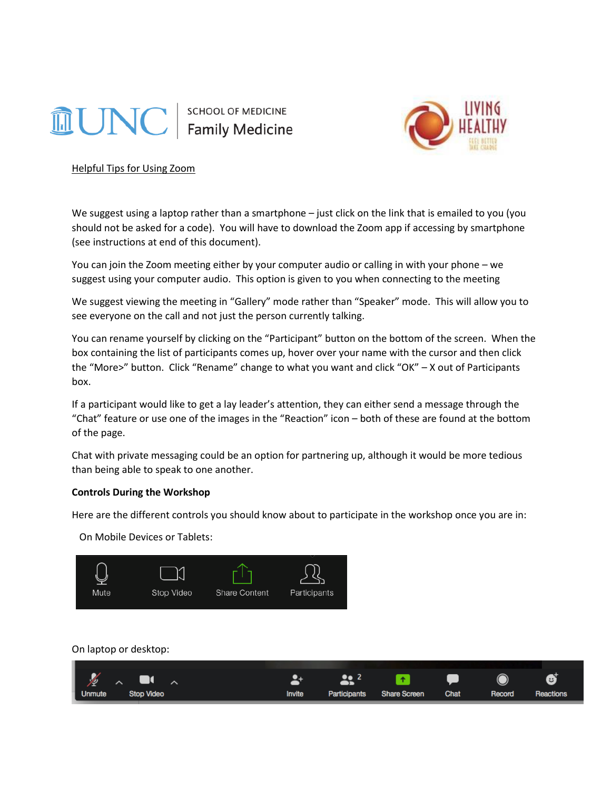# **LUNC**

SCHOOL OF MEDICINE



Helpful Tips for Using Zoom

We suggest using a laptop rather than a smartphone – just click on the link that is emailed to you (you should not be asked for a code). You will have to download the Zoom app if accessing by smartphone (see instructions at end of this document).

You can join the Zoom meeting either by your computer audio or calling in with your phone – we suggest using your computer audio. This option is given to you when connecting to the meeting

We suggest viewing the meeting in "Gallery" mode rather than "Speaker" mode. This will allow you to see everyone on the call and not just the person currently talking.

You can rename yourself by clicking on the "Participant" button on the bottom of the screen. When the box containing the list of participants comes up, hover over your name with the cursor and then click the "More>" button. Click "Rename" change to what you want and click "OK" – X out of Participants box.

If a participant would like to get a lay leader's attention, they can either send a message through the "Chat" feature or use one of the images in the "Reaction" icon – both of these are found at the bottom of the page.

Chat with private messaging could be an option for partnering up, although it would be more tedious than being able to speak to one another.

# **Controls During the Workshop**

Here are the different controls you should know about to participate in the workshop once you are in:

On Mobile Devices or Tablets:



On laptop or desktop:

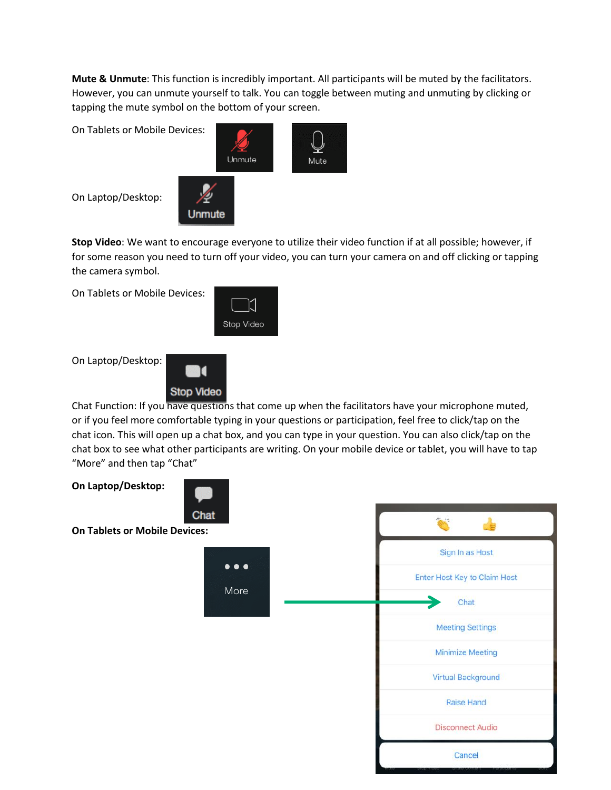**Mute & Unmute**: This function is incredibly important. All participants will be muted by the facilitators. However, you can unmute yourself to talk. You can toggle between muting and unmuting by clicking or tapping the mute symbol on the bottom of your screen.

On Tablets or Mobile Devices:



On Laptop/Desktop:

**Stop Video**: We want to encourage everyone to utilize their video function if at all possible; however, if for some reason you need to turn off your video, you can turn your camera on and off clicking or tapping the camera symbol.

On Tablets or Mobile Devices:



On Laptop/Desktop:



Chat Function: If you have questions that come up when the facilitators have your microphone muted, or if you feel more comfortable typing in your questions or participation, feel free to click/tap on the chat icon. This will open up a chat box, and you can type in your question. You can also click/tap on the chat box to see what other participants are writing. On your mobile device or tablet, you will have to tap "More" and then tap "Chat"

**On Laptop/Desktop:** Chat **On Tablets or Mobile Devices:** Sign In as Host  $\bullet\bullet\bullet$ Enter Host Key to Claim Host More Chat **Meeting Settings Minimize Meeting Virtual Background** Raise Hand **Disconnect Audio** Cancel